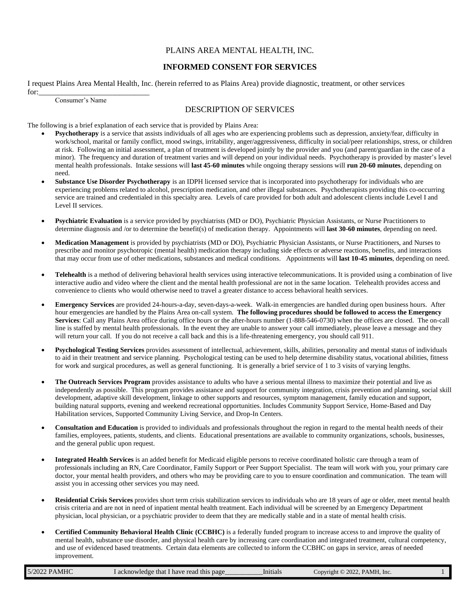#### PLAINS AREA MENTAL HEALTH, INC.

#### **INFORMED CONSENT FOR SERVICES**

I request Plains Area Mental Health, Inc. (herein referred to as Plains Area) provide diagnostic, treatment, or other services for:

| Consumer's Name |  |
|-----------------|--|
|-----------------|--|

# DESCRIPTION OF SERVICES

The following is a brief explanation of each service that is provided by Plains Area:

- **Psychotherapy** is a service that assists individuals of all ages who are experiencing problems such as depression, anxiety/fear, difficulty in work/school, marital or family conflict, mood swings, irritability, anger/aggressiveness, difficulty in social/peer relationships, stress, or children at risk. Following an initial assessment, a plan of treatment is developed jointly by the provider and you (and parent/guardian in the case of a minor). The frequency and duration of treatment varies and will depend on your individual needs. Psychotherapy is provided by master's level mental health professionals. Intake sessions will **last 45-60 minutes** while ongoing therapy sessions will **run 20-60 minutes**, depending on need.
- **Substance Use Disorder Psychotherapy** is an IDPH licensed service that is incorporated into psychotherapy for individuals who are experiencing problems related to alcohol, prescription medication, and other illegal substances. Psychotherapists providing this co-occurring service are trained and credentialed in this specialty area. Levels of care provided for both adult and adolescent clients include Level I and Level II services.
- **Psychiatric Evaluation** is a service provided by psychiatrists (MD or DO), Psychiatric Physician Assistants, or Nurse Practitioners to determine diagnosis and /or to determine the benefit(s) of medication therapy. Appointments will **last 30-60 minutes**, depending on need.
- **Medication Management** is provided by psychiatrists (MD or DO), Psychiatric Physician Assistants, or Nurse Practitioners, and Nurses to prescribe and monitor psychotropic (mental health) medication therapy including side effects or adverse reactions, benefits, and interactions that may occur from use of other medications, substances and medical conditions. Appointments will **last 10-45 minutes**, depending on need.
- **Telehealth** is a method of delivering behavioral health services using interactive telecommunications. It is provided using a combination of live interactive audio and video where the client and the mental health professional are not in the same location. Telehealth provides access and convenience to clients who would otherwise need to travel a greater distance to access behavioral health services.
- **Emergency Services** are provided 24-hours-a-day, seven-days-a-week. Walk-in emergencies are handled during open business hours. After hour emergencies are handled by the Plains Area on-call system. **The following procedures should be followed to access the Emergency Services**: Call any Plains Area office during office hours or the after-hours number (1-888-546-0730) when the offices are closed. The on-call line is staffed by mental health professionals. In the event they are unable to answer your call immediately, please leave a message and they will return your call. If you do not receive a call back and this is a life-threatening emergency, you should call 911.
- **Psychological Testing Services** provides assessment of intellectual, achievement, skills, abilities, personality and mental status of individuals to aid in their treatment and service planning. Psychological testing can be used to help determine disability status, vocational abilities, fitness for work and surgical procedures, as well as general functioning. It is generally a brief service of 1 to 3 visits of varying lengths.
- **The Outreach Services Program** provides assistance to adults who have a serious mental illness to maximize their potential and live as independently as possible. This program provides assistance and support for community integration, crisis prevention and planning, social skill development, adaptive skill development, linkage to other supports and resources, symptom management, family education and support, building natural supports, evening and weekend recreational opportunities. Includes Community Support Service, Home-Based and Day Habilitation services, Supported Community Living Service, and Drop-In Centers.
- **Consultation and Education** is provided to individuals and professionals throughout the region in regard to the mental health needs of their families, employees, patients, students, and clients. Educational presentations are available to community organizations, schools, businesses, and the general public upon request.
- **Integrated Health Services** is an added benefit for Medicaid eligible persons to receive coordinated holistic care through a team of professionals including an RN, Care Coordinator, Family Support or Peer Support Specialist. The team will work with you, your primary care doctor, your mental health providers, and others who may be providing care to you to ensure coordination and communication. The team will assist you in accessing other services you may need.
- **Residential Crisis Services** provides short term crisis stabilization services to individuals who are 18 years of age or older, meet mental health crisis criteria and are not in need of inpatient mental health treatment. Each individual will be screened by an Emergency Department physician, local physician, or a psychiatric provider to deem that they are medically stable and in a state of mental health crisis.
- **Certified Community Behavioral Health Clinic (CCBHC)** is a federally funded program to increase access to and improve the quality of mental health, substance use disorder, and physical health care by increasing care coordination and integrated treatment, cultural competency, and use of evidenced based treatments. Certain data elements are collected to inform the CCBHC on gaps in service, areas of needed improvement.

| 5/2022 PAMHC | l acknowledge that I have read this page | Initials | $.22.$ PAMH<br>2022<br>$\mathcal{L}$ opvright $\mathcal{O}^{\mathcal{L}}$<br>. Inc. |  |
|--------------|------------------------------------------|----------|-------------------------------------------------------------------------------------|--|
|              |                                          |          |                                                                                     |  |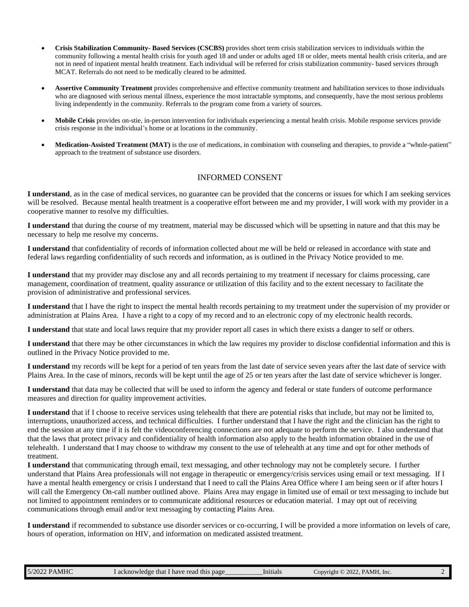- **Crisis Stabilization Community- Based Services (CSCBS)** provides short term crisis stabilization services to individuals within the community following a mental health crisis for youth aged 18 and under or adults aged 18 or older, meets mental health crisis criteria, and are not in need of inpatient mental health treatment. Each individual will be referred for crisis stabilization community- based services through MCAT. Referrals do not need to be medically cleared to be admitted.
- **Assertive Community Treatment** provides comprehensive and effective community treatment and habilitation services to those individuals who are diagnosed with serious mental illness, experience the most intractable symptoms, and consequently, have the most serious problems living independently in the community. Referrals to the program come from a variety of sources.
- **Mobile Crisis** provides on-stie, in-person intervention for individuals experiencing a mental health crisis. Mobile response services provide crisis response in the individual's home or at locations in the community.
- **Medication-Assisted Treatment (MAT)** is the use of medications, in combination with counseling and therapies, to provide a "whole-patient" approach to the treatment of substance use disorders.

# INFORMED CONSENT

**I understand**, as in the case of medical services, no guarantee can be provided that the concerns or issues for which I am seeking services will be resolved. Because mental health treatment is a cooperative effort between me and my provider, I will work with my provider in a cooperative manner to resolve my difficulties.

**I understand** that during the course of my treatment, material may be discussed which will be upsetting in nature and that this may be necessary to help me resolve my concerns.

**I understand** that confidentiality of records of information collected about me will be held or released in accordance with state and federal laws regarding confidentiality of such records and information, as is outlined in the Privacy Notice provided to me.

**I understand** that my provider may disclose any and all records pertaining to my treatment if necessary for claims processing, care management, coordination of treatment, quality assurance or utilization of this facility and to the extent necessary to facilitate the provision of administrative and professional services.

**I understand** that I have the right to inspect the mental health records pertaining to my treatment under the supervision of my provider or administration at Plains Area. I have a right to a copy of my record and to an electronic copy of my electronic health records.

**I understand** that state and local laws require that my provider report all cases in which there exists a danger to self or others.

**I understand** that there may be other circumstances in which the law requires my provider to disclose confidential information and this is outlined in the Privacy Notice provided to me.

**I understand** my records will be kept for a period of ten years from the last date of service seven years after the last date of service with Plains Area. In the case of minors, records will be kept until the age of 25 or ten years after the last date of service whichever is longer.

**I understand** that data may be collected that will be used to inform the agency and federal or state funders of outcome performance measures and direction for quality improvement activities.

**I understand** that if I choose to receive services using telehealth that there are potential risks that include, but may not be limited to, interruptions, unauthorized access, and technical difficulties. I further understand that I have the right and the clinician has the right to end the session at any time if it is felt the videoconferencing connections are not adequate to perform the service. I also understand that that the laws that protect privacy and confidentiality of health information also apply to the health information obtained in the use of telehealth. I understand that I may choose to withdraw my consent to the use of telehealth at any time and opt for other methods of treatment.

**I understand** that communicating through email, text messaging, and other technology may not be completely secure. I further understand that Plains Area professionals will not engage in therapeutic or emergency/crisis services using email or text messaging. If I have a mental health emergency or crisis I understand that I need to call the Plains Area Office where I am being seen or if after hours I will call the Emergency On-call number outlined above. Plains Area may engage in limited use of email or text messaging to include but not limited to appointment reminders or to communicate additional resources or education material. I may opt out of receiving communications through email and/or text messaging by contacting Plains Area.

**I understand** if recommended to substance use disorder services or co-occurring, I will be provided a more information on levels of care, hours of operation, information on HIV, and information on medicated assisted treatment.

| 5/2022 PAMHC | I acknowledge that I have read this page | Initials | Copyright © 2022, PAMH, Inc. |  |
|--------------|------------------------------------------|----------|------------------------------|--|
|--------------|------------------------------------------|----------|------------------------------|--|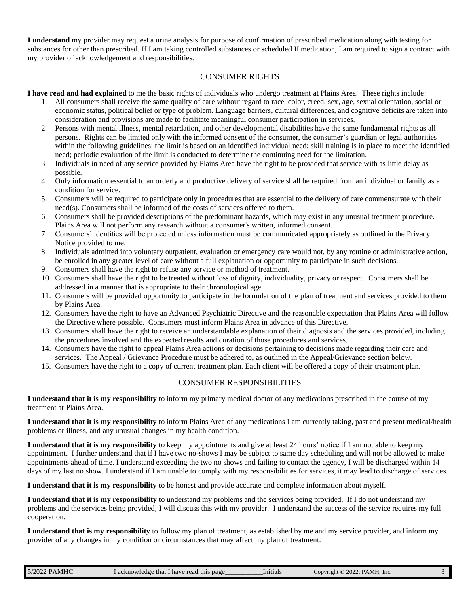**I understand** my provider may request a urine analysis for purpose of confirmation of prescribed medication along with testing for substances for other than prescribed. If I am taking controlled substances or scheduled II medication, I am required to sign a contract with my provider of acknowledgement and responsibilities.

## CONSUMER RIGHTS

**I have read and had explained** to me the basic rights of individuals who undergo treatment at Plains Area. These rights include:

- 1. All consumers shall receive the same quality of care without regard to race, color, creed, sex, age, sexual orientation, social or economic status, political belief or type of problem. Language barriers, cultural differences, and cognitive deficits are taken into consideration and provisions are made to facilitate meaningful consumer participation in services.
- 2. Persons with mental illness, mental retardation, and other developmental disabilities have the same fundamental rights as all persons. Rights can be limited only with the informed consent of the consumer, the consumer's guardian or legal authorities within the following guidelines: the limit is based on an identified individual need; skill training is in place to meet the identified need; periodic evaluation of the limit is conducted to determine the continuing need for the limitation.
- 3. Individuals in need of any service provided by Plains Area have the right to be provided that service with as little delay as possible.
- 4. Only information essential to an orderly and productive delivery of service shall be required from an individual or family as a condition for service.
- 5. Consumers will be required to participate only in procedures that are essential to the delivery of care commensurate with their need(s). Consumers shall be informed of the costs of services offered to them.
- 6. Consumers shall be provided descriptions of the predominant hazards, which may exist in any unusual treatment procedure. Plains Area will not perform any research without a consumer's written, informed consent.
- 7. Consumers' identities will be protected unless information must be communicated appropriately as outlined in the Privacy Notice provided to me.
- 8. Individuals admitted into voluntary outpatient, evaluation or emergency care would not, by any routine or administrative action, be enrolled in any greater level of care without a full explanation or opportunity to participate in such decisions.
- 9. Consumers shall have the right to refuse any service or method of treatment.
- 10. Consumers shall have the right to be treated without loss of dignity, individuality, privacy or respect. Consumers shall be addressed in a manner that is appropriate to their chronological age.
- 11. Consumers will be provided opportunity to participate in the formulation of the plan of treatment and services provided to them by Plains Area.
- 12. Consumers have the right to have an Advanced Psychiatric Directive and the reasonable expectation that Plains Area will follow the Directive where possible. Consumers must inform Plains Area in advance of this Directive.
- 13. Consumers shall have the right to receive an understandable explanation of their diagnosis and the services provided, including the procedures involved and the expected results and duration of those procedures and services.
- 14. Consumers have the right to appeal Plains Area actions or decisions pertaining to decisions made regarding their care and services. The Appeal / Grievance Procedure must be adhered to, as outlined in the Appeal/Grievance section below.
- 15. Consumers have the right to a copy of current treatment plan. Each client will be offered a copy of their treatment plan.

## CONSUMER RESPONSIBILITIES

**I understand that it is my responsibility** to inform my primary medical doctor of any medications prescribed in the course of my treatment at Plains Area.

**I understand that it is my responsibility** to inform Plains Area of any medications I am currently taking, past and present medical/health problems or illness, and any unusual changes in my health condition.

**I understand that it is my responsibility** to keep my appointments and give at least 24 hours' notice if I am not able to keep my appointment. I further understand that if I have two no-shows I may be subject to same day scheduling and will not be allowed to make appointments ahead of time. I understand exceeding the two no shows and failing to contact the agency, I will be discharged within 14 days of my last no show. I understand if I am unable to comply with my responsibilities for services, it may lead to discharge of services.

**I understand that it is my responsibility** to be honest and provide accurate and complete information about myself.

**I understand that it is my responsibility** to understand my problems and the services being provided. If I do not understand my problems and the services being provided, I will discuss this with my provider. I understand the success of the service requires my full cooperation.

**I understand that is my responsibility** to follow my plan of treatment, as established by me and my service provider, and inform my provider of any changes in my condition or circumstances that may affect my plan of treatment.

| 5/2022 PAMHC | I acknowledge that I have read this page | Initials | Copyright © 2022, PAMH, Inc. |  |
|--------------|------------------------------------------|----------|------------------------------|--|
|--------------|------------------------------------------|----------|------------------------------|--|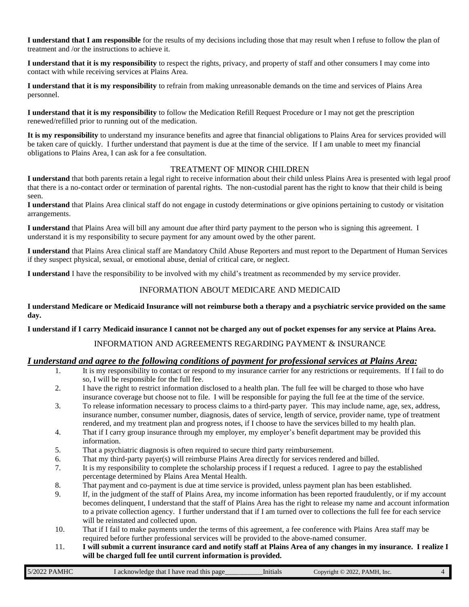**I understand that I am responsible** for the results of my decisions including those that may result when I refuse to follow the plan of treatment and /or the instructions to achieve it.

**I understand that it is my responsibility** to respect the rights, privacy, and property of staff and other consumers I may come into contact with while receiving services at Plains Area.

**I understand that it is my responsibility** to refrain from making unreasonable demands on the time and services of Plains Area personnel.

**I understand that it is my responsibility** to follow the Medication Refill Request Procedure or I may not get the prescription renewed/refilled prior to running out of the medication.

**It is my responsibility** to understand my insurance benefits and agree that financial obligations to Plains Area for services provided will be taken care of quickly. I further understand that payment is due at the time of the service. If I am unable to meet my financial obligations to Plains Area, I can ask for a fee consultation.

## TREATMENT OF MINOR CHILDREN

**I understand** that both parents retain a legal right to receive information about their child unless Plains Area is presented with legal proof that there is a no-contact order or termination of parental rights. The non-custodial parent has the right to know that their child is being seen.

**I understand** that Plains Area clinical staff do not engage in custody determinations or give opinions pertaining to custody or visitation arrangements.

**I understand** that Plains Area will bill any amount due after third party payment to the person who is signing this agreement. I understand it is my responsibility to secure payment for any amount owed by the other parent.

**I understand** that Plains Area clinical staff are Mandatory Child Abuse Reporters and must report to the Department of Human Services if they suspect physical, sexual, or emotional abuse, denial of critical care, or neglect.

**I understand** I have the responsibility to be involved with my child's treatment as recommended by my service provider.

#### INFORMATION ABOUT MEDICARE AND MEDICAID

**I understand Medicare or Medicaid Insurance will not reimburse both a therapy and a psychiatric service provided on the same day.** 

**I understand if I carry Medicaid insurance I cannot not be charged any out of pocket expenses for any service at Plains Area.**

## INFORMATION AND AGREEMENTS REGARDING PAYMENT & INSURANCE

## *I understand and agree to the following conditions of payment for professional services at Plains Area:*

- 1. It is my responsibility to contact or respond to my insurance carrier for any restrictions or requirements. If I fail to do so, I will be responsible for the full fee.
- 2. I have the right to restrict information disclosed to a health plan. The full fee will be charged to those who have insurance coverage but choose not to file. I will be responsible for paying the full fee at the time of the service.
- 3. To release information necessary to process claims to a third-party payer. This may include name, age, sex, address, insurance number, consumer number, diagnosis, dates of service, length of service, provider name, type of treatment rendered, and my treatment plan and progress notes, if I choose to have the services billed to my health plan.
- 4. That if I carry group insurance through my employer, my employer's benefit department may be provided this information.
- 5. That a psychiatric diagnosis is often required to secure third party reimbursement.
- 6. That my third-party payer(s) will reimburse Plains Area directly for services rendered and billed.
- 7. It is my responsibility to complete the scholarship process if I request a reduced. I agree to pay the established percentage determined by Plains Area Mental Health.
- 8. That payment and co-payment is due at time service is provided, unless payment plan has been established.
- 9. If, in the judgment of the staff of Plains Area, my income information has been reported fraudulently, or if my account becomes delinquent, I understand that the staff of Plains Area has the right to release my name and account information to a private collection agency. I further understand that if I am turned over to collections the full fee for each service will be reinstated and collected upon.
- 10. That if I fail to make payments under the terms of this agreement, a fee conference with Plains Area staff may be required before further professional services will be provided to the above-named consumer.
- 11. **I will submit a current insurance card and notify staff at Plains Area of any changes in my insurance. I realize I will be charged full fee until current information is provided.**

| 5/2022 PAMHC<br>PAMH, Inc.<br>$2022.$ P<br>acknowledge that I have read this<br>page<br>Initials<br>$\mathcal{L}$ onvright $\mathbb{C}$ |  |
|-----------------------------------------------------------------------------------------------------------------------------------------|--|
|-----------------------------------------------------------------------------------------------------------------------------------------|--|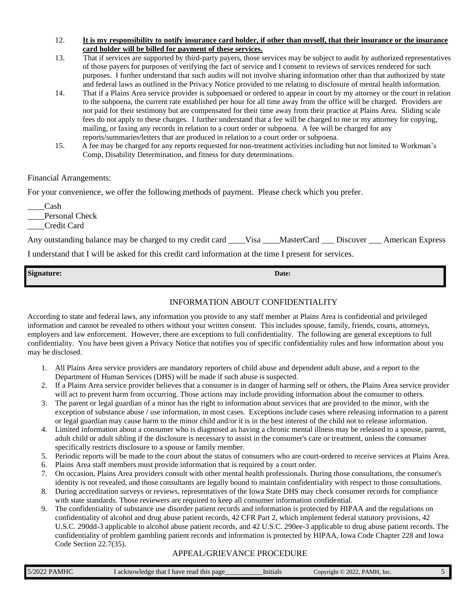- 12. **It is my responsibility to notify insurance card holder, if other than myself, that their insurance or the insurance card holder will be billed for payment of these services.**
- 13. That if services are supported by third-party payers, those services may be subject to audit by authorized representatives of those payers for purposes of verifying the fact of service and I consent to reviews of services rendered for such purposes. I further understand that such audits will not involve sharing information other than that authorized by state and federal laws as outlined in the Privacy Notice provided to me relating to disclosure of mental health information.
- 14. That if a Plains Area service provider is subpoenaed or ordered to appear in court by my attorney or the court in relation to the subpoena, the current rate established per hour for all time away from the office will be charged. Providers are not paid for their testimony but are compensated for their time away from their practice at Plains Area. Sliding scale fees do not apply to these charges. I further understand that a fee will be charged to me or my attorney for copying, mailing, or faxing any records in relation to a court order or subpoena. A fee will be charged for any reports/summaries/letters that are produced in relation to a court order or subpoena.
- 15. A fee may be charged for any reports requested for non-treatment activities including but not limited to Workman's Comp, Disability Determination, and fitness for duty determinations.

## Financial Arrangements:

For your convenience, we offer the following methods of payment. Please check which you prefer.

\_\_\_\_Cash

Personal Check

\_\_\_\_Credit Card

| Any outstanding balance may be charged to my credit card ____Visa ____MasterCard ____Discover ____American Express |  |  |
|--------------------------------------------------------------------------------------------------------------------|--|--|
| I understand that I will be asked for this credit card information at the time I present for services.             |  |  |

| <b>Signature:</b> | Date: |
|-------------------|-------|
|                   |       |

# INFORMATION ABOUT CONFIDENTIALITY

According to state and federal laws, any information you provide to any staff member at Plains Area is confidential and privileged information and cannot be revealed to others without your written consent. This includes spouse, family, friends, courts, attorneys, employers and law enforcement. However, there are exceptions to full confidentiality. The following are general exceptions to full confidentiality. You have been given a Privacy Notice that notifies you of specific confidentiality rules and how information about you may be disclosed.

- 1. All Plains Area service providers are mandatory reporters of child abuse and dependent adult abuse, and a report to the Department of Human Services (DHS) will be made if such abuse is suspected.
- 2. If a Plains Area service provider believes that a consumer is in danger of harming self or others, the Plains Area service provider will act to prevent harm from occurring. Those actions may include providing information about the consumer to others.
- 3. The parent or legal guardian of a minor has the right to information about services that are provided to the minor, with the exception of substance abuse / use information, in most cases. Exceptions include cases where releasing information to a parent or legal guardian may cause harm to the minor child and/or it is in the best interest of the child not to release information.
- 4. Limited information about a consumer who is diagnosed as having a chronic mental illness may be released to a spouse, parent, adult child or adult sibling if the disclosure is necessary to assist in the consumer's care or treatment, unless the consumer specifically restricts disclosure to a spouse or family member.
- 5. Periodic reports will be made to the court about the status of consumers who are court-ordered to receive services at Plains Area.
- 6. Plains Area staff members must provide information that is required by a court order.
- 7. On occasion, Plains Area providers consult with other mental health professionals. During those consultations, the consumer's identity is not revealed, and those consultants are legally bound to maintain confidentiality with respect to those consultations.
- 8. During accreditation surveys or reviews, representatives of the Iowa State DHS may check consumer records for compliance with state standards. Those reviewers are required to keep all consumer information confidential.
- 9. The confidentiality of substance use disorder patient records and information is protected by HIPAA and the regulations on confidentiality of alcohol and drug abuse patient records, 42 CFR Part 2, which implement federal statutory provisions, 42 U.S.C. 290dd-3 applicable to alcohol abuse patient records, and 42 U.S.C. 290ee-3 applicable to drug abuse patient records. The confidentiality of problem gambling patient records and information is protected by HIPAA, Iowa Code Chapter 228 and Iowa Code Section 22.7(35).

# APPEAL/GRIEVANCE PROCEDURE

|  | <b>PAMHC</b><br>5/2022 | l acknowledge that I have read this page | lnıtıals | $\odot$ 2022, PAMH, Inc.<br>Copyright / |  |
|--|------------------------|------------------------------------------|----------|-----------------------------------------|--|
|--|------------------------|------------------------------------------|----------|-----------------------------------------|--|